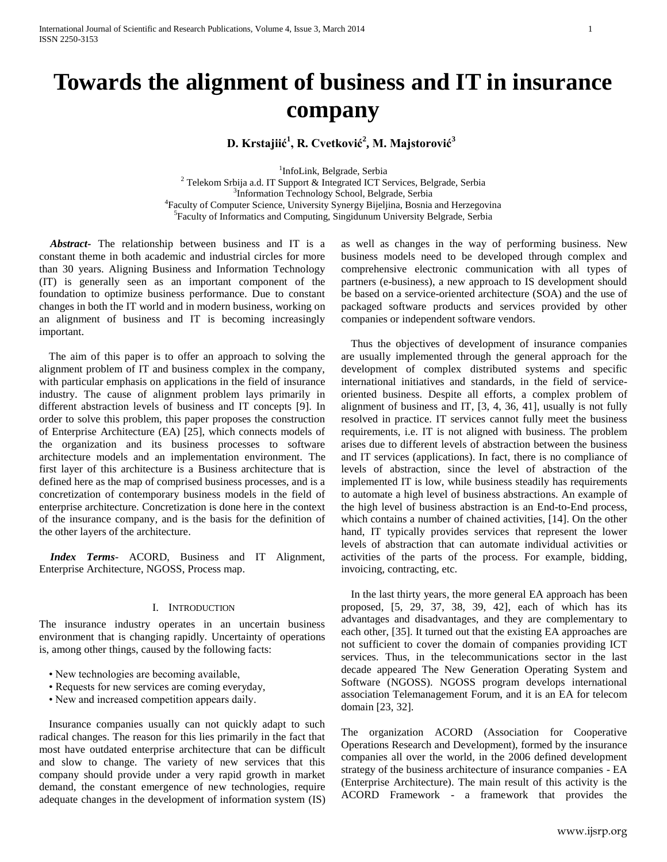# **Towards the alignment of business and IT in insurance company**

## **D. Krstajiić<sup>1</sup> , R. Cvetković<sup>2</sup> , M. Majstorović<sup>3</sup>**

<sup>1</sup>InfoLink, Belgrade, Serbia <sup>2</sup> Telekom Srbija a.d. IT Support & Integrated ICT Services, Belgrade, Serbia <sup>3</sup>Information Technology School, Belgrade, Serbia 4 Faculty of Computer Science, University Synergy Bijeljina, Bosnia and Herzegovina 5 Faculty of Informatics and Computing, Singidunum University Belgrade, Serbia

 *Abstract-* The relationship between business and IT is a constant theme in both academic and industrial circles for more than 30 years. Aligning Business and Information Technology (IT) is generally seen as an important component of the foundation to optimize business performance. Due to constant changes in both the IT world and in modern business, working on an alignment of business and IT is becoming increasingly important.

The aim of this paper is to offer an approach to solving the alignment problem of IT and business complex in the company, with particular emphasis on applications in the field of insurance industry. The cause of alignment problem lays primarily in different abstraction levels of business and IT concepts [9]. In order to solve this problem, this paper proposes the construction of Enterprise Architecture (EA) [25], which connects models of the organization and its business processes to software architecture models and an implementation environment. The first layer of this architecture is a Business architecture that is defined here as the map of comprised business processes, and is a concretization of contemporary business models in the field of enterprise architecture. Concretization is done here in the context of the insurance company, and is the basis for the definition of the other layers of the architecture.

 *Index Terms*- ACORD, Business and IT Alignment, Enterprise Architecture, NGOSS, Process map.

#### I. INTRODUCTION

The insurance industry operates in an uncertain business environment that is changing rapidly. Uncertainty of operations is, among other things, caused by the following facts:

- New technologies are becoming available,
- Requests for new services are coming everyday,
- New and increased competition appears daily.

Insurance companies usually can not quickly adapt to such radical changes. The reason for this lies primarily in the fact that most have outdated enterprise architecture that can be difficult and slow to change. The variety of new services that this company should provide under a very rapid growth in market demand, the constant emergence of new technologies, require adequate changes in the development of information system (IS)

as well as changes in the way of performing business. New business models need to be developed through complex and comprehensive electronic communication with all types of partners (e-business), a new approach to IS development should be based on a service-oriented architecture (SOA) and the use of packaged software products and services provided by other companies or independent software vendors.

Thus the objectives of development of insurance companies are usually implemented through the general approach for the development of complex distributed systems and specific international initiatives and standards, in the field of serviceoriented business. Despite all efforts, a complex problem of alignment of business and IT, [3, 4, 36, 41], usually is not fully resolved in practice. IT services cannot fully meet the business requirements, i.e. IT is not aligned with business. The problem arises due to different levels of abstraction between the business and IT services (applications). In fact, there is no compliance of levels of abstraction, since the level of abstraction of the implemented IT is low, while business steadily has requirements to automate a high level of business abstractions. An example of the high level of business abstraction is an End-to-End process, which contains a number of chained activities, [14]. On the other hand, IT typically provides services that represent the lower levels of abstraction that can automate individual activities or activities of the parts of the process. For example, bidding, invoicing, contracting, etc.

In the last thirty years, the more general EA approach has been proposed, [5, 29, 37, 38, 39, 42], each of which has its advantages and disadvantages, and they are complementary to each other, [35]. It turned out that the existing EA approaches are not sufficient to cover the domain of companies providing ICT services. Thus, in the telecommunications sector in the last decade appeared The New Generation Operating System and Software (NGOSS). NGOSS program develops international association Telemanagement Forum, and it is an EA for telecom domain [23, 32].

The organization ACORD (Association for Cooperative Operations Research and Development), formed by the insurance companies all over the world, in the 2006 defined development strategy of the business architecture of insurance companies - EA (Enterprise Architecture). The main result of this activity is the ACORD Framework - a framework that provides the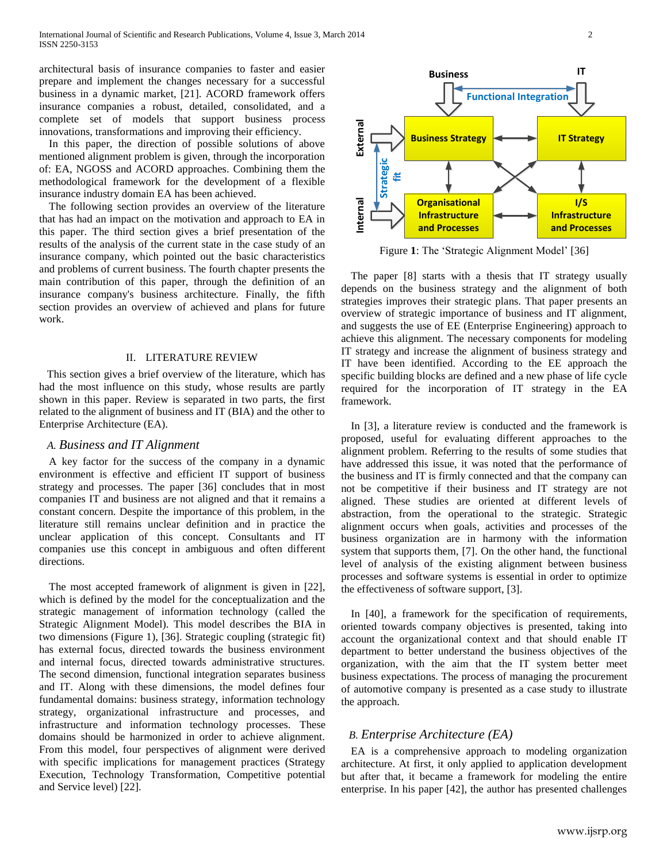architectural basis of insurance companies to faster and easier prepare and implement the changes necessary for a successful business in a dynamic market, [21]. ACORD framework offers insurance companies a robust, detailed, consolidated, and a complete set of models that support business process innovations, transformations and improving their efficiency.

In this paper, the direction of possible solutions of above mentioned alignment problem is given, through the incorporation of: EA, NGOSS and ACORD approaches. Combining them the methodological framework for the development of a flexible insurance industry domain EA has been achieved.

The following section provides an overview of the literature that has had an impact on the motivation and approach to EA in this paper. The third section gives a brief presentation of the results of the analysis of the current state in the case study of an insurance company, which pointed out the basic characteristics and problems of current business. The fourth chapter presents the main contribution of this paper, through the definition of an insurance company's business architecture. Finally, the fifth section provides an overview of achieved and plans for future work.

#### II. LITERATURE REVIEW

This section gives a brief overview of the literature, which has had the most influence on this study, whose results are partly shown in this paper. Review is separated in two parts, the first related to the alignment of business and IT (BIA) and the other to Enterprise Architecture (EA).

### *A. Business and IT Alignment*

A key factor for the success of the company in a dynamic environment is effective and efficient IT support of business strategy and processes. The paper [36] concludes that in most companies IT and business are not aligned and that it remains a constant concern. Despite the importance of this problem, in the literature still remains unclear definition and in practice the unclear application of this concept. Consultants and IT companies use this concept in ambiguous and often different directions.

The most accepted framework of alignment is given in [22], which is defined by the model for the conceptualization and the strategic management of information technology (called the Strategic Alignment Model). This model describes the BIA in two dimensions (Figure 1), [36]. Strategic coupling (strategic fit) has external focus, directed towards the business environment and internal focus, directed towards administrative structures. The second dimension, functional integration separates business and IT. Along with these dimensions, the model defines four fundamental domains: business strategy, information technology strategy, organizational infrastructure and processes, and infrastructure and information technology processes. These domains should be harmonized in order to achieve alignment. From this model, four perspectives of alignment were derived with specific implications for management practices (Strategy Execution, Technology Transformation, Competitive potential and Service level) [22].



Figure **1**: The 'Strategic Alignment Model' [36]

The paper [8] starts with a thesis that IT strategy usually depends on the business strategy and the alignment of both strategies improves their strategic plans. That paper presents an overview of strategic importance of business and IT alignment, and suggests the use of EE (Enterprise Engineering) approach to achieve this alignment. The necessary components for modeling IT strategy and increase the alignment of business strategy and IT have been identified. According to the EE approach the specific building blocks are defined and a new phase of life cycle required for the incorporation of IT strategy in the EA framework.

In [3], a literature review is conducted and the framework is proposed, useful for evaluating different approaches to the alignment problem. Referring to the results of some studies that have addressed this issue, it was noted that the performance of the business and IT is firmly connected and that the company can not be competitive if their business and IT strategy are not aligned. These studies are oriented at different levels of abstraction, from the operational to the strategic. Strategic alignment occurs when goals, activities and processes of the business organization are in harmony with the information system that supports them, [7]. On the other hand, the functional level of analysis of the existing alignment between business processes and software systems is essential in order to optimize the effectiveness of software support, [3].

In [40], a framework for the specification of requirements, oriented towards company objectives is presented, taking into account the organizational context and that should enable IT department to better understand the business objectives of the organization, with the aim that the IT system better meet business expectations. The process of managing the procurement of automotive company is presented as a case study to illustrate the approach.

## *B. Enterprise Architecture (EA)*

EA is a comprehensive approach to modeling organization architecture. At first, it only applied to application development but after that, it became a framework for modeling the entire enterprise. In his paper [42], the author has presented challenges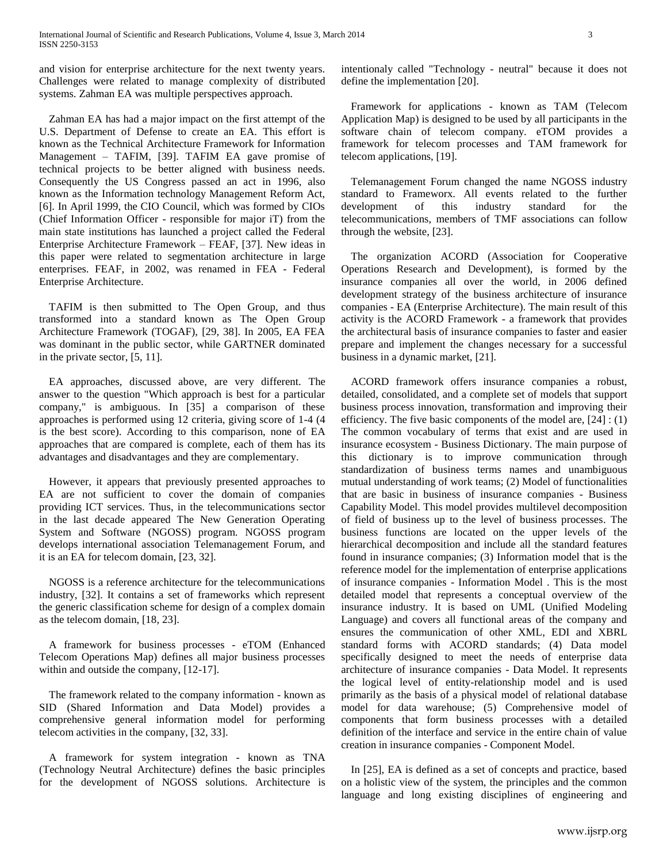and vision for enterprise architecture for the next twenty years. Challenges were related to manage complexity of distributed systems. Zahman EA was multiple perspectives approach.

Zahman EA has had a major impact on the first attempt of the U.S. Department of Defense to create an EA. This effort is known as the Technical Architecture Framework for Information Management – TAFIM, [39]. TAFIM EA gave promise of technical projects to be better aligned with business needs. Consequently the US Congress passed an act in 1996, also known as the Information technology Management Reform Act, [6]. In April 1999, the CIO Council, which was formed by CIOs (Chief Information Officer - responsible for major iT) from the main state institutions has launched a project called the Federal Enterprise Architecture Framework – FEAF, [37]. New ideas in this paper were related to segmentation architecture in large enterprises. FEAF, in 2002, was renamed in FEA - Federal Enterprise Architecture.

TAFIM is then submitted to The Open Group, and thus transformed into a standard known as The Open Group Architecture Framework (TOGAF), [29, 38]. In 2005, EA FEA was dominant in the public sector, while GARTNER dominated in the private sector, [5, 11].

EA approaches, discussed above, are very different. The answer to the question "Which approach is best for a particular company," is ambiguous. In [35] a comparison of these approaches is performed using 12 criteria, giving score of 1-4 (4 is the best score). According to this comparison, none of EA approaches that are compared is complete, each of them has its advantages and disadvantages and they are complementary.

However, it appears that previously presented approaches to EA are not sufficient to cover the domain of companies providing ICT services. Thus, in the telecommunications sector in the last decade appeared The New Generation Operating System and Software (NGOSS) program. NGOSS program develops international association Telemanagement Forum, and it is an EA for telecom domain, [23, 32].

NGOSS is a reference architecture for the telecommunications industry, [32]. It contains a set of frameworks which represent the generic classification scheme for design of a complex domain as the telecom domain, [18, 23].

A framework for business processes - eTOM (Enhanced Telecom Operations Map) defines all major business processes within and outside the company, [12-17].

The framework related to the company information - known as SID (Shared Information and Data Model) provides a comprehensive general information model for performing telecom activities in the company, [32, 33].

A framework for system integration - known as TNA (Technology Neutral Architecture) defines the basic principles for the development of NGOSS solutions. Architecture is

intentionaly called "Technology - neutral" because it does not define the implementation [20].

Framework for applications - known as TAM (Telecom Application Map) is designed to be used by all participants in the software chain of telecom company. eTOM provides a framework for telecom processes and TAM framework for telecom applications, [19].

Telemanagement Forum changed the name NGOSS industry standard to Frameworx. All events related to the further development of this industry standard for the telecommunications, members of TMF associations can follow through the website, [23].

The organization ACORD (Association for Cooperative Operations Research and Development), is formed by the insurance companies all over the world, in 2006 defined development strategy of the business architecture of insurance companies - EA (Enterprise Architecture). The main result of this activity is the ACORD Framework - a framework that provides the architectural basis of insurance companies to faster and easier prepare and implement the changes necessary for a successful business in a dynamic market, [21].

ACORD framework offers insurance companies a robust, detailed, consolidated, and a complete set of models that support business process innovation, transformation and improving their efficiency. The five basic components of the model are, [24] : (1) The common vocabulary of terms that exist and are used in insurance ecosystem - Business Dictionary. The main purpose of this dictionary is to improve communication through standardization of business terms names and unambiguous mutual understanding of work teams; (2) Model of functionalities that are basic in business of insurance companies - Business Capability Model. This model provides multilevel decomposition of field of business up to the level of business processes. The business functions are located on the upper levels of the hierarchical decomposition and include all the standard features found in insurance companies; (3) Information model that is the reference model for the implementation of enterprise applications of insurance companies - Information Model . This is the most detailed model that represents a conceptual overview of the insurance industry. It is based on UML (Unified Modeling Language) and covers all functional areas of the company and ensures the communication of other XML, EDI and XBRL standard forms with ACORD standards; (4) Data model specifically designed to meet the needs of enterprise data architecture of insurance companies - Data Model. It represents the logical level of entity-relationship model and is used primarily as the basis of a physical model of relational database model for data warehouse; (5) Comprehensive model of components that form business processes with a detailed definition of the interface and service in the entire chain of value creation in insurance companies - Component Model.

In [25], EA is defined as a set of concepts and practice, based on a holistic view of the system, the principles and the common language and long existing disciplines of engineering and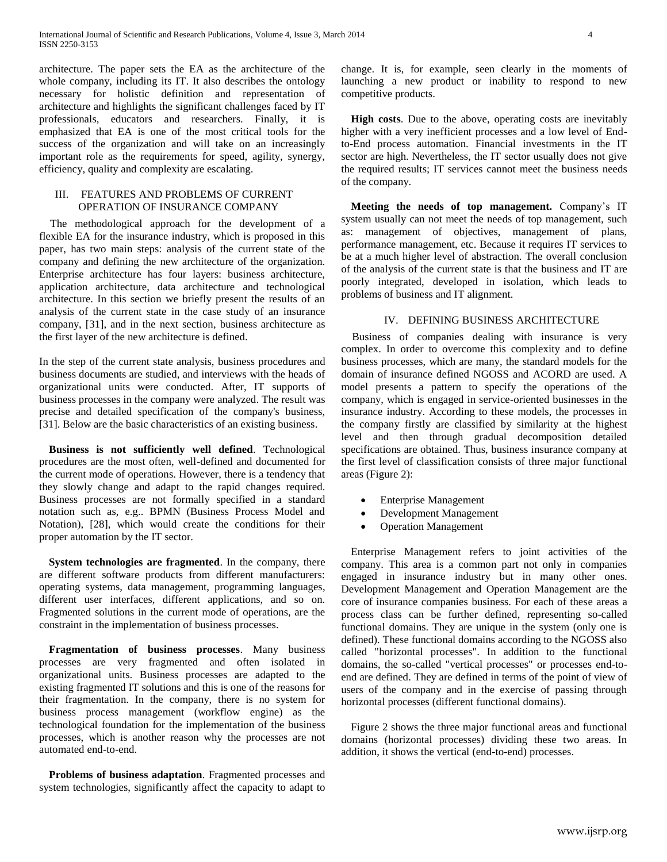architecture. The paper sets the EA as the architecture of the whole company, including its IT. It also describes the ontology necessary for holistic definition and representation of architecture and highlights the significant challenges faced by IT professionals, educators and researchers. Finally, it is emphasized that EA is one of the most critical tools for the success of the organization and will take on an increasingly important role as the requirements for speed, agility, synergy, efficiency, quality and complexity are escalating.

#### III. FEATURES AND PROBLEMS OF CURRENT OPERATION OF INSURANCE COMPANY

 The methodological approach for the development of a flexible EA for the insurance industry, which is proposed in this paper, has two main steps: analysis of the current state of the company and defining the new architecture of the organization. Enterprise architecture has four layers: business architecture, application architecture, data architecture and technological architecture. In this section we briefly present the results of an analysis of the current state in the case study of an insurance company, [31], and in the next section, business architecture as the first layer of the new architecture is defined.

In the step of the current state analysis, business procedures and business documents are studied, and interviews with the heads of organizational units were conducted. After, IT supports of business processes in the company were analyzed. The result was precise and detailed specification of the company's business, [31]. Below are the basic characteristics of an existing business.

**Business is not sufficiently well defined**. Technological procedures are the most often, well-defined and documented for the current mode of operations. However, there is a tendency that they slowly change and adapt to the rapid changes required. Business processes are not formally specified in a standard notation such as, e.g.. BPMN (Business Process Model and Notation), [28], which would create the conditions for their proper automation by the IT sector.

**System technologies are fragmented**. In the company, there are different software products from different manufacturers: operating systems, data management, programming languages, different user interfaces, different applications, and so on. Fragmented solutions in the current mode of operations, are the constraint in the implementation of business processes.

**Fragmentation of business processes**. Many business processes are very fragmented and often isolated in organizational units. Business processes are adapted to the existing fragmented IT solutions and this is one of the reasons for their fragmentation. In the company, there is no system for business process management (workflow engine) as the technological foundation for the implementation of the business processes, which is another reason why the processes are not automated end-to-end.

**Problems of business adaptation**. Fragmented processes and system technologies, significantly affect the capacity to adapt to change. It is, for example, seen clearly in the moments of launching a new product or inability to respond to new competitive products.

**High costs**. Due to the above, operating costs are inevitably higher with a very inefficient processes and a low level of Endto-End process automation. Financial investments in the IT sector are high. Nevertheless, the IT sector usually does not give the required results; IT services cannot meet the business needs of the company.

**Meeting the needs of top management.** Company's IT system usually can not meet the needs of top management, such as: management of objectives, management of plans, performance management, etc. Because it requires IT services to be at a much higher level of abstraction. The overall conclusion of the analysis of the current state is that the business and IT are poorly integrated, developed in isolation, which leads to problems of business and IT alignment.

#### IV. DEFINING BUSINESS ARCHITECTURE

 Business of companies dealing with insurance is very complex. In order to overcome this complexity and to define business processes, which are many, the standard models for the domain of insurance defined NGOSS and ACORD are used. A model presents a pattern to specify the operations of the company, which is engaged in service-oriented businesses in the insurance industry. According to these models, the processes in the company firstly are classified by similarity at the highest level and then through gradual decomposition detailed specifications are obtained. Thus, business insurance company at the first level of classification consists of three major functional areas (Figure 2):

- Enterprise Management
- Development Management
- Operation Management

Enterprise Management refers to joint activities of the company. This area is a common part not only in companies engaged in insurance industry but in many other ones. Development Management and Operation Management are the core of insurance companies business. For each of these areas a process class can be further defined, representing so-called functional domains. They are unique in the system (only one is defined). These functional domains according to the NGOSS also called "horizontal processes". In addition to the functional domains, the so-called "vertical processes" or processes end-toend are defined. They are defined in terms of the point of view of users of the company and in the exercise of passing through horizontal processes (different functional domains).

Figure 2 shows the three major functional areas and functional domains (horizontal processes) dividing these two areas. In addition, it shows the vertical (end-to-end) processes.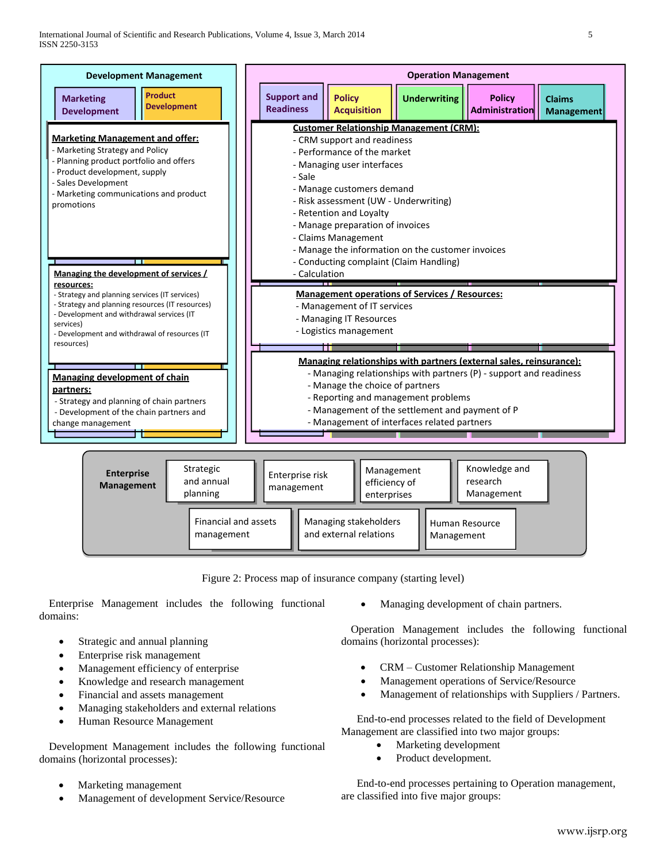

Figure 2: Process map of insurance company (starting level)

Enterprise Management includes the following functional domains:

- Strategic and annual planning
- Enterprise risk management
- Management efficiency of enterprise
- Knowledge and research management
- Financial and assets management
- Managing stakeholders and external relations
- Human Resource Management

Development Management includes the following functional domains (horizontal processes):

- Marketing management
- Management of development Service/Resource

Managing development of chain partners.

Operation Management includes the following functional domains (horizontal processes):

- CRM Customer Relationship Management
- Management operations of Service/Resource
- Management of relationships with Suppliers / Partners.

End-to-end processes related to the field of Development Management are classified into two major groups:

- Marketing development
- Product development.

End-to-end processes pertaining to Operation management, are classified into five major groups: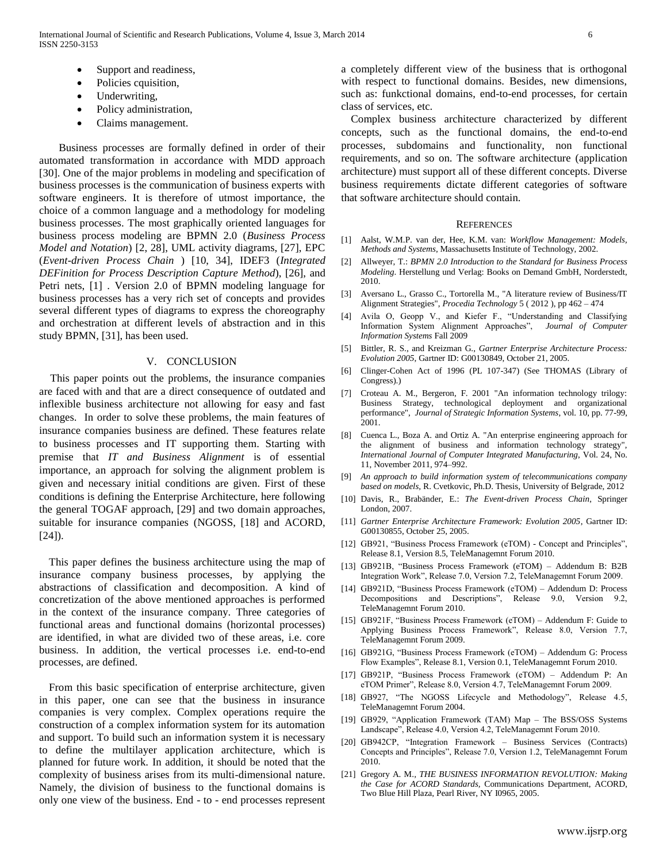- Support and readiness,
- Policies cquisition,
- Underwriting,
- Policy administration,
- Claims management.

Business processes are formally defined in order of their automated transformation in accordance with MDD approach [30]. One of the major problems in modeling and specification of business processes is the communication of business experts with software engineers. It is therefore of utmost importance, the choice of a common language and a methodology for modeling business processes. The most graphically oriented languages for business process modeling are BPMN 2.0 (*Business Process Model and Notation*) [2, 28], UML activity diagrams, [27], EPC (*Event-driven Process Chain* ) [10, 34], IDEF3 (*Integrated DEFinition for Process Description Capture Method*), [26], and Petri nets, [1] . Version 2.0 of BPMN modeling language for business processes has a very rich set of concepts and provides several different types of diagrams to express the choreography and orchestration at different levels of abstraction and in this study BPMN, [31], has been used.

#### V. CONCLUSION

This paper points out the problems, the insurance companies are faced with and that are a direct consequence of outdated and inflexible business architecture not allowing for easy and fast changes. In order to solve these problems, the main features of insurance companies business are defined. These features relate to business processes and IT supporting them. Starting with premise that *IT and Business Alignment* is of essential importance, an approach for solving the alignment problem is given and necessary initial conditions are given. First of these conditions is defining the Enterprise Architecture, here following the general TOGAF approach, [29] and two domain approaches, suitable for insurance companies (NGOSS, [18] and ACORD, [24]).

This paper defines the business architecture using the map of insurance company business processes, by applying the abstractions of classification and decomposition. A kind of concretization of the above mentioned approaches is performed in the context of the insurance company. Three categories of functional areas and functional domains (horizontal processes) are identified, in what are divided two of these areas, i.e. core business. In addition, the vertical processes i.e. end-to-end processes, are defined.

From this basic specification of enterprise architecture, given in this paper, one can see that the business in insurance companies is very complex. Complex operations require the construction of a complex information system for its automation and support. To build such an information system it is necessary to define the multilayer application architecture, which is planned for future work. In addition, it should be noted that the complexity of business arises from its multi-dimensional nature. Namely, the division of business to the functional domains is only one view of the business. End - to - end processes represent a completely different view of the business that is orthogonal with respect to functional domains. Besides, new dimensions, such as: funkctional domains, end-to-end processes, for certain class of services, etc.

Complex business architecture characterized by different concepts, such as the functional domains, the end-to-end processes, subdomains and functionality, non functional requirements, and so on. The software architecture (application architecture) must support all of these different concepts. Diverse business requirements dictate different categories of software that software architecture should contain.

#### **REFERENCES**

- [1] Aalst, W.M.P. van der, Hee, K.M. van: *Workflow Management: Models, Methods and Systems*, Massachusetts Institute of Technology, 2002.
- [2] Allweyer, T.: *BPMN 2.0 Introduction to the Standard for Business Process Modeling*. Herstellung und Verlag: Books on Demand GmbH, Norderstedt, 2010.
- [3] Aversano L., Grasso C., Tortorella M., "A literature review of Business/IT Alignment Strategies", *Procedia Technology* 5 ( 2012 ), pp 462 – 474
- [4] Avila O, Geopp V., and Kiefer F., "Understanding and Classifying Information System Alignment Approaches", *Journal of Computer Information Systems* Fall 2009
- [5] Bittler, R. S., and Kreizman G., *Gartner Enterprise Architecture Process: Evolution 2005*, Gartner ID: G00130849, October 21, 2005.
- [6] Clinger-Cohen Act of 1996 (PL 107-347) (See THOMAS (Library of Congress).)
- [7] Croteau A. M., Bergeron, F. 2001 "An information technology trilogy: Business Strategy, technological deployment and organizational performance", *Journal of Strategic Information Systems*, vol. 10, pp. 77-99, 2001.
- [8] Cuenca L., Boza A. and Ortiz A. "An enterprise engineering approach for the alignment of business and information technology strategy", *International Journal of Computer Integrated Manufacturing*, Vol. 24, No. 11, November 2011, 974–992.
- [9] *An approach to build information system of telecommunications company based on models,* R. Cvetkovic, Ph.D. Thesis, University of Belgrade, 2012
- [10] Davis, R., Brabänder, E.: *The Event-driven Process Chain*, Springer London, 2007.
- [11] *Gartner Enterprise Architecture Framework: Evolution 2005*, Gartner ID: G00130855, October 25, 2005.
- [12] GB921, "Business Process Framework (eTOM) Concept and Principles", Release 8.1, Version 8.5, TeleManagemnt Forum 2010.
- [13] GB921B, "Business Process Framework (eTOM) Addendum B: B2B Integration Work", Release 7.0, Version 7.2, TeleManagemnt Forum 2009.
- [14] GB921D, "Business Process Framework (eTOM) Addendum D: Process Decompositions and Descriptions", Release 9.0, Version 9.2, TeleManagemnt Forum 2010.
- [15] GB921F, "Business Process Framework (eTOM) Addendum F: Guide to Applying Business Process Framework", Release 8.0, Version 7.7, TeleManagemnt Forum 2009.
- [16] GB921G, "Business Process Framework (eTOM) Addendum G: Process Flow Examples", Release 8.1, Version 0.1, TeleManagemnt Forum 2010.
- [17] GB921P, "Business Process Framework (eTOM) Addendum P: An eTOM Primer", Release 8.0, Version 4.7, TeleManagemnt Forum 2009.
- [18] GB927, "The NGOSS Lifecycle and Methodology", Release 4.5, TeleManagemnt Forum 2004.
- [19] GB929, "Application Framework (TAM) Map The BSS/OSS Systems Landscape", Release 4.0, Version 4.2, TeleManagemnt Forum 2010.
- [20] GB942CP, "Integration Framework Business Services (Contracts) Concepts and Principles", Release 7.0, Version 1.2, TeleManagemnt Forum 2010.
- [21] Gregory A. M.*, THE BUSINESS INFORMATION REVOLUTION: Making the Case for ACORD Standards,* Communications Department, ACORD, Two Blue Hill Plaza, Pearl River, NY I0965, 2005.